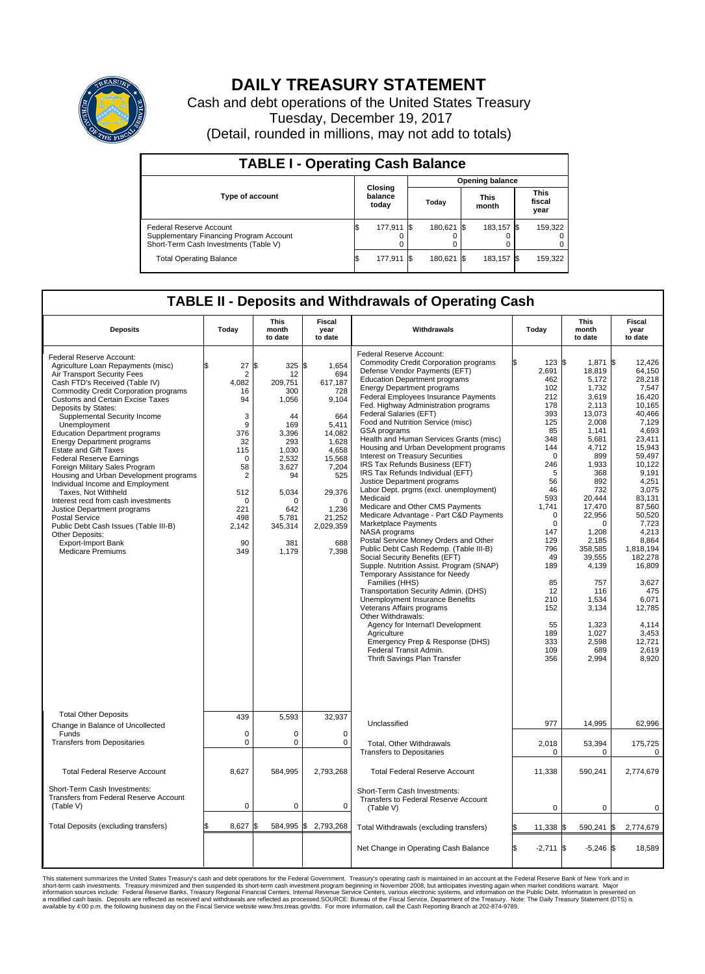

## **DAILY TREASURY STATEMENT**

Cash and debt operations of the United States Treasury Tuesday, December 19, 2017 (Detail, rounded in millions, may not add to totals)

| <b>TABLE I - Operating Cash Balance</b>                                                                     |    |                             |                        |            |  |                      |  |                               |  |  |  |
|-------------------------------------------------------------------------------------------------------------|----|-----------------------------|------------------------|------------|--|----------------------|--|-------------------------------|--|--|--|
|                                                                                                             |    |                             | <b>Opening balance</b> |            |  |                      |  |                               |  |  |  |
| Type of account                                                                                             |    | Closing<br>balance<br>today |                        | Today      |  | <b>This</b><br>month |  | <b>This</b><br>fiscal<br>year |  |  |  |
| Federal Reserve Account<br>Supplementary Financing Program Account<br>Short-Term Cash Investments (Table V) |    | 177,911 \$                  |                        | 180,621 \$ |  | 183.157 \$           |  | 159,322                       |  |  |  |
| <b>Total Operating Balance</b>                                                                              | ß. | 177,911                     |                        | 180,621    |  | 183,157 \$           |  | 159,322                       |  |  |  |

## **TABLE II - Deposits and Withdrawals of Operating Cash**

| <b>Deposits</b>                                                                                                                                                                                                                                                                                                                                                                                                                                                                                                                                                                                                                                                                                                                                                                                       | Today                                                                                                                                                       | <b>This</b><br>month<br>to date                                                                                                                                    | <b>Fiscal</b><br>year<br>to date                                                                                                                                                          | Withdrawals                                                                                                                                                                                                                                                                                                                                                                                                                                                                                                                                                                                                                                                                                                                                                                                                                                                                                                                                                                                                                                                                                                                                                                                                                                                        | Today                                                                                                                                                                                                                                          | <b>This</b><br>month<br>to date                                                                                                                                                                                                                                                                      | <b>Fiscal</b><br>year<br>to date                                                                                                                                                                                                                                                                                                          |
|-------------------------------------------------------------------------------------------------------------------------------------------------------------------------------------------------------------------------------------------------------------------------------------------------------------------------------------------------------------------------------------------------------------------------------------------------------------------------------------------------------------------------------------------------------------------------------------------------------------------------------------------------------------------------------------------------------------------------------------------------------------------------------------------------------|-------------------------------------------------------------------------------------------------------------------------------------------------------------|--------------------------------------------------------------------------------------------------------------------------------------------------------------------|-------------------------------------------------------------------------------------------------------------------------------------------------------------------------------------------|--------------------------------------------------------------------------------------------------------------------------------------------------------------------------------------------------------------------------------------------------------------------------------------------------------------------------------------------------------------------------------------------------------------------------------------------------------------------------------------------------------------------------------------------------------------------------------------------------------------------------------------------------------------------------------------------------------------------------------------------------------------------------------------------------------------------------------------------------------------------------------------------------------------------------------------------------------------------------------------------------------------------------------------------------------------------------------------------------------------------------------------------------------------------------------------------------------------------------------------------------------------------|------------------------------------------------------------------------------------------------------------------------------------------------------------------------------------------------------------------------------------------------|------------------------------------------------------------------------------------------------------------------------------------------------------------------------------------------------------------------------------------------------------------------------------------------------------|-------------------------------------------------------------------------------------------------------------------------------------------------------------------------------------------------------------------------------------------------------------------------------------------------------------------------------------------|
| Federal Reserve Account:<br>Agriculture Loan Repayments (misc)<br>Air Transport Security Fees<br>Cash FTD's Received (Table IV)<br><b>Commodity Credit Corporation programs</b><br><b>Customs and Certain Excise Taxes</b><br>Deposits by States:<br>Supplemental Security Income<br>Unemployment<br><b>Education Department programs</b><br><b>Energy Department programs</b><br><b>Estate and Gift Taxes</b><br><b>Federal Reserve Earnings</b><br>Foreign Military Sales Program<br>Housing and Urban Development programs<br>Individual Income and Employment<br>Taxes, Not Withheld<br>Interest recd from cash investments<br>Justice Department programs<br>Postal Service<br>Public Debt Cash Issues (Table III-B)<br>Other Deposits:<br><b>Export-Import Bank</b><br><b>Medicare Premiums</b> | 27<br>$\overline{2}$<br>4.082<br>16<br>94<br>3<br>9<br>376<br>32<br>115<br>$\mathbf 0$<br>58<br>2<br>512<br>$\mathbf 0$<br>221<br>498<br>2,142<br>90<br>349 | l\$<br>325<br>12<br>209.751<br>300<br>1,056<br>44<br>169<br>3,396<br>293<br>1,030<br>2,532<br>3,627<br>94<br>5,034<br>n<br>642<br>5,781<br>345,314<br>381<br>1,179 | \$<br>1,654<br>694<br>617,187<br>728<br>9,104<br>664<br>5,411<br>14,082<br>1.628<br>4,658<br>15,568<br>7,204<br>525<br>29,376<br>$\Omega$<br>1,236<br>21,252<br>2,029,359<br>688<br>7,398 | Federal Reserve Account:<br><b>Commodity Credit Corporation programs</b><br>Defense Vendor Payments (EFT)<br><b>Education Department programs</b><br><b>Energy Department programs</b><br>Federal Employees Insurance Payments<br>Fed. Highway Administration programs<br>Federal Salaries (EFT)<br>Food and Nutrition Service (misc)<br>GSA programs<br>Health and Human Services Grants (misc)<br>Housing and Urban Development programs<br>Interest on Treasury Securities<br>IRS Tax Refunds Business (EFT)<br>IRS Tax Refunds Individual (EFT)<br>Justice Department programs<br>Labor Dept. prgms (excl. unemployment)<br>Medicaid<br>Medicare and Other CMS Payments<br>Medicare Advantage - Part C&D Payments<br>Marketplace Payments<br>NASA programs<br>Postal Service Money Orders and Other<br>Public Debt Cash Redemp. (Table III-B)<br>Social Security Benefits (EFT)<br>Supple. Nutrition Assist. Program (SNAP)<br>Temporary Assistance for Needy<br>Families (HHS)<br>Transportation Security Admin. (DHS)<br>Unemployment Insurance Benefits<br>Veterans Affairs programs<br>Other Withdrawals:<br>Agency for Internat'l Development<br>Agriculture<br>Emergency Prep & Response (DHS)<br>Federal Transit Admin.<br>Thrift Savings Plan Transfer | 123S<br>2,691<br>462<br>102<br>212<br>178<br>393<br>125<br>85<br>348<br>144<br>$\Omega$<br>246<br>5<br>56<br>46<br>593<br>1,741<br>$\Omega$<br>0<br>147<br>129<br>796<br>49<br>189<br>85<br>12<br>210<br>152<br>55<br>189<br>333<br>109<br>356 | 1,871<br>18,819<br>5,172<br>1,732<br>3,619<br>2,113<br>13,073<br>2.008<br>1,141<br>5,681<br>4.712<br>899<br>1,933<br>368<br>892<br>732<br>20.444<br>17,470<br>22,956<br>0<br>1,208<br>2.185<br>358,585<br>39,555<br>4,139<br>757<br>116<br>1.534<br>3,134<br>1,323<br>1,027<br>2,598<br>689<br>2,994 | l\$<br>12,426<br>64,150<br>28,218<br>7,547<br>16.420<br>10,165<br>40,466<br>7.129<br>4,693<br>23,411<br>15.943<br>59,497<br>10.122<br>9,191<br>4.251<br>3,075<br>83.131<br>87,560<br>50,520<br>7,723<br>4,213<br>8.864<br>1,818,194<br>182,278<br>16,809<br>3,627<br>475<br>6.071<br>12,785<br>4,114<br>3,453<br>12,721<br>2,619<br>8.920 |
| <b>Total Other Deposits</b><br>Change in Balance of Uncollected                                                                                                                                                                                                                                                                                                                                                                                                                                                                                                                                                                                                                                                                                                                                       | 439                                                                                                                                                         | 5,593                                                                                                                                                              | 32,937                                                                                                                                                                                    | Unclassified                                                                                                                                                                                                                                                                                                                                                                                                                                                                                                                                                                                                                                                                                                                                                                                                                                                                                                                                                                                                                                                                                                                                                                                                                                                       | 977                                                                                                                                                                                                                                            | 14,995                                                                                                                                                                                                                                                                                               | 62,996                                                                                                                                                                                                                                                                                                                                    |
| Funds<br><b>Transfers from Depositaries</b>                                                                                                                                                                                                                                                                                                                                                                                                                                                                                                                                                                                                                                                                                                                                                           | $\mathbf 0$<br>0                                                                                                                                            | $\mathbf 0$<br>$\mathbf 0$                                                                                                                                         | 0<br>$\mathbf 0$                                                                                                                                                                          | Total, Other Withdrawals                                                                                                                                                                                                                                                                                                                                                                                                                                                                                                                                                                                                                                                                                                                                                                                                                                                                                                                                                                                                                                                                                                                                                                                                                                           | 2,018                                                                                                                                                                                                                                          | 53,394                                                                                                                                                                                                                                                                                               | 175,725                                                                                                                                                                                                                                                                                                                                   |
|                                                                                                                                                                                                                                                                                                                                                                                                                                                                                                                                                                                                                                                                                                                                                                                                       |                                                                                                                                                             |                                                                                                                                                                    |                                                                                                                                                                                           | <b>Transfers to Depositaries</b>                                                                                                                                                                                                                                                                                                                                                                                                                                                                                                                                                                                                                                                                                                                                                                                                                                                                                                                                                                                                                                                                                                                                                                                                                                   | 0                                                                                                                                                                                                                                              | 0                                                                                                                                                                                                                                                                                                    | 0                                                                                                                                                                                                                                                                                                                                         |
| <b>Total Federal Reserve Account</b>                                                                                                                                                                                                                                                                                                                                                                                                                                                                                                                                                                                                                                                                                                                                                                  | 8,627                                                                                                                                                       | 584,995                                                                                                                                                            | 2,793,268                                                                                                                                                                                 | <b>Total Federal Reserve Account</b>                                                                                                                                                                                                                                                                                                                                                                                                                                                                                                                                                                                                                                                                                                                                                                                                                                                                                                                                                                                                                                                                                                                                                                                                                               | 11,338                                                                                                                                                                                                                                         | 590,241                                                                                                                                                                                                                                                                                              | 2,774,679                                                                                                                                                                                                                                                                                                                                 |
| Short-Term Cash Investments:<br>Transfers from Federal Reserve Account<br>(Table V)                                                                                                                                                                                                                                                                                                                                                                                                                                                                                                                                                                                                                                                                                                                   | 0                                                                                                                                                           | $\mathbf 0$                                                                                                                                                        | 0                                                                                                                                                                                         | Short-Term Cash Investments:<br>Transfers to Federal Reserve Account<br>(Table V)                                                                                                                                                                                                                                                                                                                                                                                                                                                                                                                                                                                                                                                                                                                                                                                                                                                                                                                                                                                                                                                                                                                                                                                  | $\mathbf 0$                                                                                                                                                                                                                                    | 0                                                                                                                                                                                                                                                                                                    | $\Omega$                                                                                                                                                                                                                                                                                                                                  |
| Total Deposits (excluding transfers)                                                                                                                                                                                                                                                                                                                                                                                                                                                                                                                                                                                                                                                                                                                                                                  | 8,627<br>\$                                                                                                                                                 | l\$<br>584,995                                                                                                                                                     | \$<br>2,793,268                                                                                                                                                                           | Total Withdrawals (excluding transfers)                                                                                                                                                                                                                                                                                                                                                                                                                                                                                                                                                                                                                                                                                                                                                                                                                                                                                                                                                                                                                                                                                                                                                                                                                            | 11,338 \$                                                                                                                                                                                                                                      | 590,241                                                                                                                                                                                                                                                                                              | \$<br>2,774,679                                                                                                                                                                                                                                                                                                                           |
|                                                                                                                                                                                                                                                                                                                                                                                                                                                                                                                                                                                                                                                                                                                                                                                                       |                                                                                                                                                             |                                                                                                                                                                    |                                                                                                                                                                                           | Net Change in Operating Cash Balance                                                                                                                                                                                                                                                                                                                                                                                                                                                                                                                                                                                                                                                                                                                                                                                                                                                                                                                                                                                                                                                                                                                                                                                                                               | \$.<br>$-2.711$ S                                                                                                                                                                                                                              | $-5,246$ \$                                                                                                                                                                                                                                                                                          | 18.589                                                                                                                                                                                                                                                                                                                                    |

This statement summarizes the United States Treasury's cash and debt operations for the Federal Government. Treasury soperating in November 2008, but anticiarded in a cocount at the Federal Reserve Bank of New York and in<br>